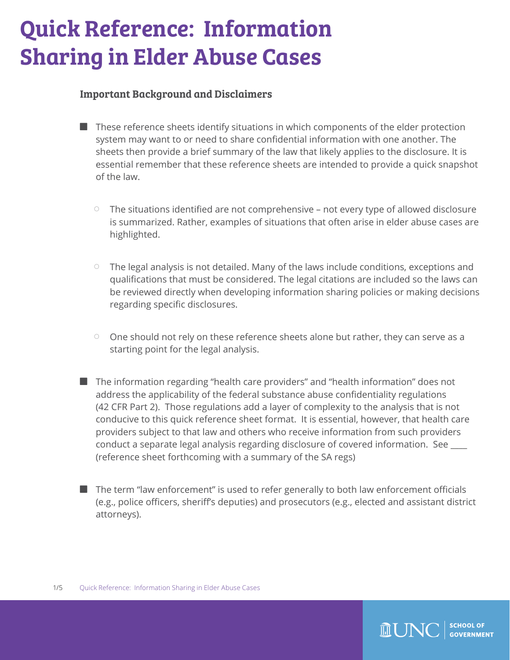# Quick Reference: Information Sharing in Elder Abuse Cases

#### Important Background and Disclaimers

- $\blacksquare$  These reference sheets identify situations in which components of the elder protection system may want to or need to share confidential information with one another. The sheets then provide a brief summary of the law that likely applies to the disclosure. It is essential remember that these reference sheets are intended to provide a quick snapshot of the law.
	- The situations identified are not comprehensive not every type of allowed disclosure is summarized. Rather, examples of situations that often arise in elder abuse cases are highlighted.
	- The legal analysis is not detailed. Many of the laws include conditions, exceptions and qualifications that must be considered. The legal citations are included so the laws can be reviewed directly when developing information sharing policies or making decisions regarding specific disclosures.
	- One should not rely on these reference sheets alone but rather, they can serve as a starting point for the legal analysis.
- The information regarding "health care providers" and "health information" does not address the applicability of the federal substance abuse confidentiality regulations (42 CFR Part 2). Those regulations add a layer of complexity to the analysis that is not conducive to this quick reference sheet format. It is essential, however, that health care providers subject to that law and others who receive information from such providers conduct a separate legal analysis regarding disclosure of covered information. See \_\_\_\_ (reference sheet forthcoming with a summary of the SA regs)
- The term "law enforcement" is used to refer generally to both law enforcement officials (e.g., police officers, sheriff's deputies) and prosecutors (e.g., elected and assistant district attorneys).

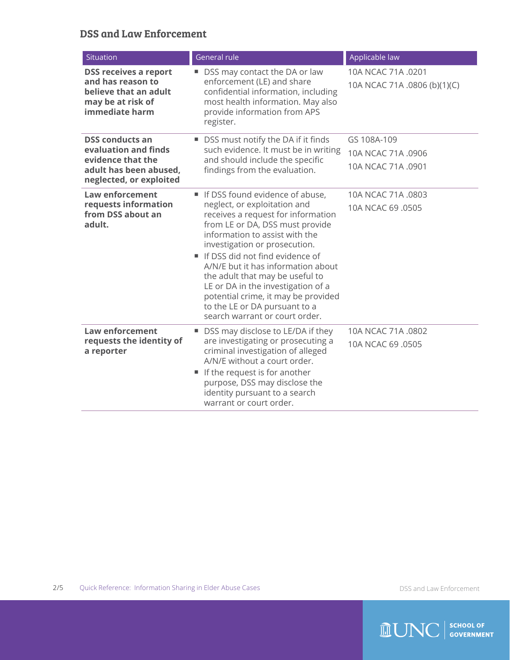#### DSS and Law Enforcement

| Situation                                                                                                                | General rule                                                                                                                                                                                                                                                                                                                                                                                                                                                            | Applicable law                                          |
|--------------------------------------------------------------------------------------------------------------------------|-------------------------------------------------------------------------------------------------------------------------------------------------------------------------------------------------------------------------------------------------------------------------------------------------------------------------------------------------------------------------------------------------------------------------------------------------------------------------|---------------------------------------------------------|
| <b>DSS receives a report</b><br>and has reason to<br>believe that an adult<br>may be at risk of<br>immediate harm        | DSS may contact the DA or law<br>ш<br>enforcement (LE) and share<br>confidential information, including<br>most health information. May also<br>provide information from APS<br>register.                                                                                                                                                                                                                                                                               | 10A NCAC 71A .0201<br>10A NCAC 71A .0806 (b)(1)(C)      |
| <b>DSS conducts an</b><br>evaluation and finds<br>evidence that the<br>adult has been abused.<br>neglected, or exploited | ■ DSS must notify the DA if it finds<br>such evidence. It must be in writing<br>and should include the specific<br>findings from the evaluation.                                                                                                                                                                                                                                                                                                                        | GS 108A-109<br>10A NCAC 71A .0906<br>10A NCAC 71A .0901 |
| <b>Law enforcement</b><br>requests information<br>from DSS about an<br>adult.                                            | If DSS found evidence of abuse,<br>neglect, or exploitation and<br>receives a request for information<br>from LE or DA, DSS must provide<br>information to assist with the<br>investigation or prosecution.<br>If DSS did not find evidence of<br>A/N/E but it has information about<br>the adult that may be useful to<br>LE or DA in the investigation of a<br>potential crime, it may be provided<br>to the LE or DA pursuant to a<br>search warrant or court order. | 10A NCAC 71A .0803<br>10A NCAC 69 .0505                 |
| <b>Law enforcement</b><br>requests the identity of<br>a reporter                                                         | DSS may disclose to LE/DA if they<br>ш<br>are investigating or prosecuting a<br>criminal investigation of alleged<br>A/N/E without a court order.<br>If the request is for another<br>٠<br>purpose, DSS may disclose the<br>identity pursuant to a search<br>warrant or court order.                                                                                                                                                                                    | 10A NCAC 71A .0802<br>10A NCAC 69 .0505                 |

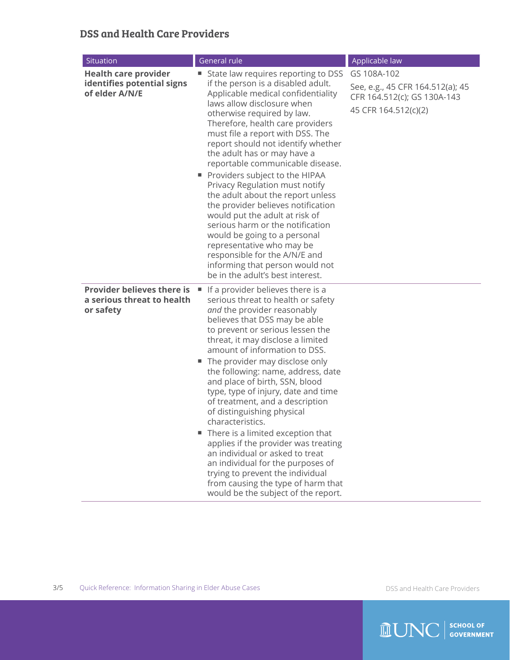## DSS and Health Care Providers

| Situation                                                                    | General rule                                                                                                                                                                                                                                                                                                                                                                                                                                                                                                                                                                                                                                                                                                                                                               | Applicable law                                                                                         |
|------------------------------------------------------------------------------|----------------------------------------------------------------------------------------------------------------------------------------------------------------------------------------------------------------------------------------------------------------------------------------------------------------------------------------------------------------------------------------------------------------------------------------------------------------------------------------------------------------------------------------------------------------------------------------------------------------------------------------------------------------------------------------------------------------------------------------------------------------------------|--------------------------------------------------------------------------------------------------------|
| <b>Health care provider</b><br>identifies potential signs<br>of elder A/N/E  | State law requires reporting to DSS<br>if the person is a disabled adult.<br>Applicable medical confidentiality<br>laws allow disclosure when<br>otherwise required by law.<br>Therefore, health care providers<br>must file a report with DSS. The<br>report should not identify whether<br>the adult has or may have a<br>reportable communicable disease.<br>Providers subject to the HIPAA<br>Privacy Regulation must notify<br>the adult about the report unless<br>the provider believes notification<br>would put the adult at risk of<br>serious harm or the notification<br>would be going to a personal<br>representative who may be<br>responsible for the A/N/E and<br>informing that person would not<br>be in the adult's best interest.                     | GS 108A-102<br>See, e.g., 45 CFR 164.512(a); 45<br>CFR 164.512(c); GS 130A-143<br>45 CFR 164.512(c)(2) |
| <b>Provider believes there is</b><br>a serious threat to health<br>or safety | If a provider believes there is a<br>×,<br>serious threat to health or safety<br>and the provider reasonably<br>believes that DSS may be able<br>to prevent or serious lessen the<br>threat, it may disclose a limited<br>amount of information to DSS.<br>■ The provider may disclose only<br>the following: name, address, date<br>and place of birth, SSN, blood<br>type, type of injury, date and time<br>of treatment, and a description<br>of distinguishing physical<br>characteristics.<br>There is a limited exception that<br>ш<br>applies if the provider was treating<br>an individual or asked to treat<br>an individual for the purposes of<br>trying to prevent the individual<br>from causing the type of harm that<br>would be the subject of the report. |                                                                                                        |

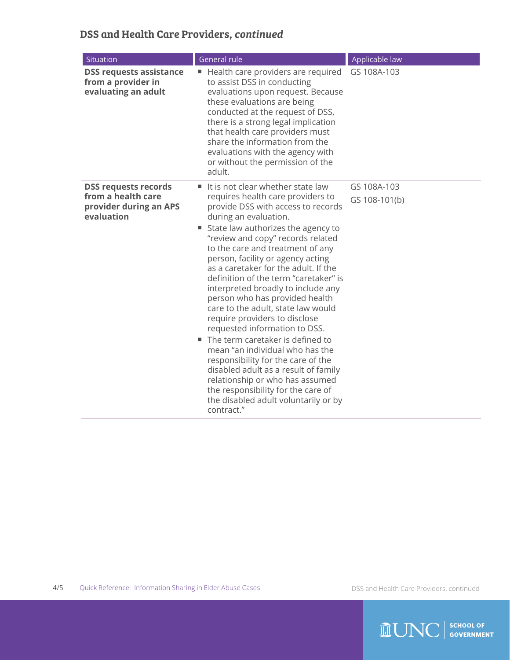# DSS and Health Care Providers, *continued*

| Situation                                                                                 | General rule                                                                                                                                                                                                                                                                                                                                                                                                                                                                                                                                                                                                                                                                                                                                                                                                                                          | Applicable law               |
|-------------------------------------------------------------------------------------------|-------------------------------------------------------------------------------------------------------------------------------------------------------------------------------------------------------------------------------------------------------------------------------------------------------------------------------------------------------------------------------------------------------------------------------------------------------------------------------------------------------------------------------------------------------------------------------------------------------------------------------------------------------------------------------------------------------------------------------------------------------------------------------------------------------------------------------------------------------|------------------------------|
| <b>DSS requests assistance</b><br>from a provider in<br>evaluating an adult               | Health care providers are required<br>н,<br>to assist DSS in conducting<br>evaluations upon request. Because<br>these evaluations are being<br>conducted at the request of DSS,<br>there is a strong legal implication<br>that health care providers must<br>share the information from the<br>evaluations with the agency with<br>or without the permission of the<br>adult.                                                                                                                                                                                                                                                                                                                                                                                                                                                                         | GS 108A-103                  |
| <b>DSS requests records</b><br>from a health care<br>provider during an APS<br>evaluation | It is not clear whether state law<br>٠<br>requires health care providers to<br>provide DSS with access to records<br>during an evaluation.<br>State law authorizes the agency to<br>"review and copy" records related<br>to the care and treatment of any<br>person, facility or agency acting<br>as a caretaker for the adult. If the<br>definition of the term "caretaker" is<br>interpreted broadly to include any<br>person who has provided health<br>care to the adult, state law would<br>require providers to disclose<br>requested information to DSS.<br>■ The term caretaker is defined to<br>mean "an individual who has the<br>responsibility for the care of the<br>disabled adult as a result of family<br>relationship or who has assumed<br>the responsibility for the care of<br>the disabled adult voluntarily or by<br>contract." | GS 108A-103<br>GS 108-101(b) |

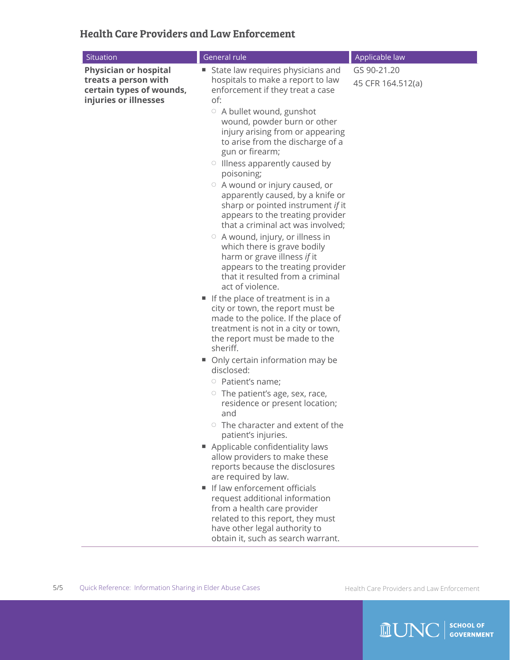## Health Care Providers and Law Enforcement

| GS 90-21.20<br><b>Physician or hospital</b><br>State law requires physicians and<br>ш<br>treats a person with<br>hospitals to make a report to law<br>45 CFR 164.512(a)<br>certain types of wounds,<br>enforcement if they treat a case<br>injuries or illnesses<br>of:<br>$\circ$ A bullet wound, gunshot<br>wound, powder burn or other<br>injury arising from or appearing<br>to arise from the discharge of a<br>gun or firearm;<br>$\circ$ Illness apparently caused by<br>poisoning;<br>$\circ$ A wound or injury caused, or<br>apparently caused, by a knife or<br>sharp or pointed instrument if it<br>appears to the treating provider<br>that a criminal act was involved;<br>$\circ$ A wound, injury, or illness in<br>which there is grave bodily<br>harm or grave illness if it<br>appears to the treating provider<br>that it resulted from a criminal<br>act of violence.<br>If the place of treatment is in a<br>city or town, the report must be<br>made to the police. If the place of<br>treatment is not in a city or town,<br>the report must be made to the<br>sheriff.<br>Only certain information may be<br>п<br>disclosed:<br>$\circ$ Patient's name;<br>$\circ$ The patient's age, sex, race,<br>residence or present location;<br>and | Situation | General rule                    | Applicable law |
|------------------------------------------------------------------------------------------------------------------------------------------------------------------------------------------------------------------------------------------------------------------------------------------------------------------------------------------------------------------------------------------------------------------------------------------------------------------------------------------------------------------------------------------------------------------------------------------------------------------------------------------------------------------------------------------------------------------------------------------------------------------------------------------------------------------------------------------------------------------------------------------------------------------------------------------------------------------------------------------------------------------------------------------------------------------------------------------------------------------------------------------------------------------------------------------------------------------------------------------------------------------|-----------|---------------------------------|----------------|
| patient's injuries.<br>Applicable confidentiality laws<br>allow providers to make these<br>reports because the disclosures<br>are required by law.<br>If law enforcement officials<br>request additional information<br>from a health care provider<br>related to this report, they must<br>have other legal authority to<br>obtain it, such as search warrant.                                                                                                                                                                                                                                                                                                                                                                                                                                                                                                                                                                                                                                                                                                                                                                                                                                                                                                  |           | The character and extent of the |                |

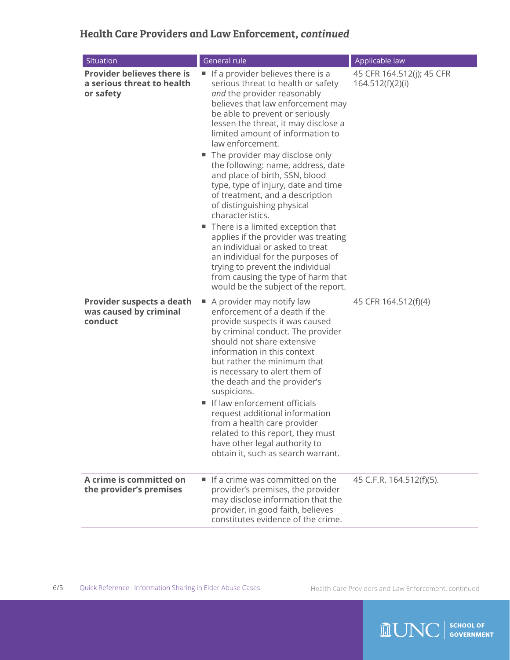# Health Care Providers and Law Enforcement, *continued*

| Situation                                                                    | <b>General rule</b>                                                                                                                                                                                                                                                                                                                                                                                                                                                                                                                                                                                                                                                                                                                                                                               | Applicable law                                |
|------------------------------------------------------------------------------|---------------------------------------------------------------------------------------------------------------------------------------------------------------------------------------------------------------------------------------------------------------------------------------------------------------------------------------------------------------------------------------------------------------------------------------------------------------------------------------------------------------------------------------------------------------------------------------------------------------------------------------------------------------------------------------------------------------------------------------------------------------------------------------------------|-----------------------------------------------|
| <b>Provider believes there is</b><br>a serious threat to health<br>or safety | If a provider believes there is a<br>ш<br>serious threat to health or safety<br>and the provider reasonably<br>believes that law enforcement may<br>be able to prevent or seriously<br>lessen the threat, it may disclose a<br>limited amount of information to<br>law enforcement.<br>■ The provider may disclose only<br>the following: name, address, date<br>and place of birth, SSN, blood<br>type, type of injury, date and time<br>of treatment, and a description<br>of distinguishing physical<br>characteristics.<br>There is a limited exception that<br>applies if the provider was treating<br>an individual or asked to treat<br>an individual for the purposes of<br>trying to prevent the individual<br>from causing the type of harm that<br>would be the subject of the report. | 45 CFR 164.512(j); 45 CFR<br>164.512(f)(2)(i) |
| Provider suspects a death<br>was caused by criminal<br>conduct               | A provider may notify law<br>enforcement of a death if the<br>provide suspects it was caused<br>by criminal conduct. The provider<br>should not share extensive<br>information in this context<br>but rather the minimum that<br>is necessary to alert them of<br>the death and the provider's<br>suspicions.<br>If law enforcement officials<br>request additional information<br>from a health care provider<br>related to this report, they must<br>have other legal authority to<br>obtain it, such as search warrant.                                                                                                                                                                                                                                                                        | 45 CFR 164.512(f)(4)                          |
| A crime is committed on<br>the provider's premises                           | If a crime was committed on the<br>provider's premises, the provider<br>may disclose information that the<br>provider, in good faith, believes<br>constitutes evidence of the crime.                                                                                                                                                                                                                                                                                                                                                                                                                                                                                                                                                                                                              | 45 C.F.R. 164.512(f)(5).                      |

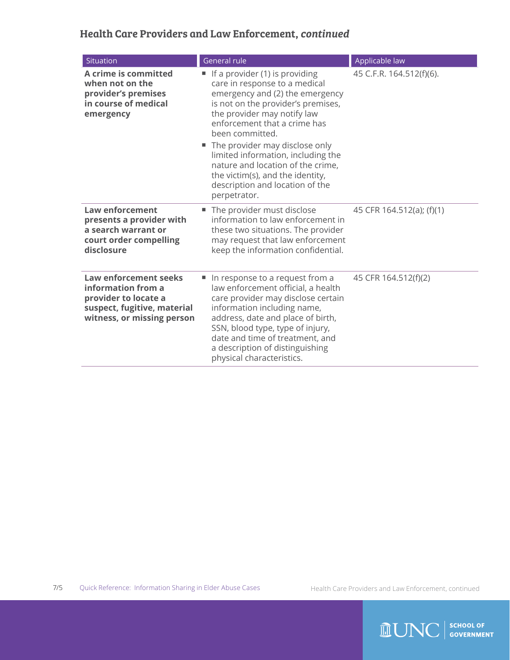# Health Care Providers and Law Enforcement, *continued*

| Situation                                                                                                                               | General rule                                                                                                                                                                                                                                                                                                                                                                                                                          | Applicable law            |
|-----------------------------------------------------------------------------------------------------------------------------------------|---------------------------------------------------------------------------------------------------------------------------------------------------------------------------------------------------------------------------------------------------------------------------------------------------------------------------------------------------------------------------------------------------------------------------------------|---------------------------|
| A crime is committed<br>when not on the<br>provider's premises<br>in course of medical<br>emergency                                     | If a provider (1) is providing<br>ш<br>care in response to a medical<br>emergency and (2) the emergency<br>is not on the provider's premises,<br>the provider may notify law<br>enforcement that a crime has<br>been committed.<br>■ The provider may disclose only<br>limited information, including the<br>nature and location of the crime,<br>the victim(s), and the identity,<br>description and location of the<br>perpetrator. | 45 C.F.R. 164.512(f)(6).  |
| <b>Law enforcement</b><br>presents a provider with<br>a search warrant or<br>court order compelling<br>disclosure                       | The provider must disclose<br>ш<br>information to law enforcement in<br>these two situations. The provider<br>may request that law enforcement<br>keep the information confidential.                                                                                                                                                                                                                                                  | 45 CFR 164.512(a); (f)(1) |
| <b>Law enforcement seeks</b><br>information from a<br>provider to locate a<br>suspect, fugitive, material<br>witness, or missing person | In response to a request from a<br>law enforcement official, a health<br>care provider may disclose certain<br>information including name,<br>address, date and place of birth,<br>SSN, blood type, type of injury,<br>date and time of treatment, and<br>a description of distinguishing<br>physical characteristics.                                                                                                                | 45 CFR 164.512(f)(2)      |

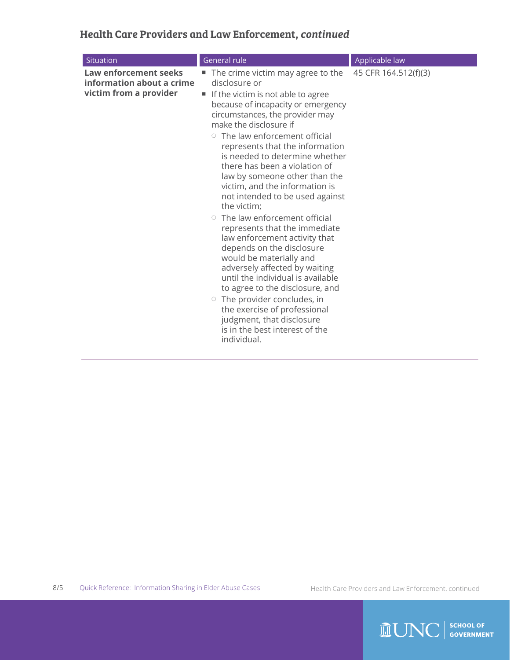# Health Care Providers and Law Enforcement, *continued*

| Situation                                                                           | General rule                                                                                                                                                                                                                                                                                                                                                                                                                                                                                                                                                                                                                                                                                                                                                                                                                                                                                       | Applicable law       |
|-------------------------------------------------------------------------------------|----------------------------------------------------------------------------------------------------------------------------------------------------------------------------------------------------------------------------------------------------------------------------------------------------------------------------------------------------------------------------------------------------------------------------------------------------------------------------------------------------------------------------------------------------------------------------------------------------------------------------------------------------------------------------------------------------------------------------------------------------------------------------------------------------------------------------------------------------------------------------------------------------|----------------------|
| <b>Law enforcement seeks</b><br>information about a crime<br>victim from a provider | The crime victim may agree to the<br>disclosure or<br>If the victim is not able to agree<br>ш<br>because of incapacity or emergency<br>circumstances, the provider may<br>make the disclosure if<br>$\circ$ The law enforcement official<br>represents that the information<br>is needed to determine whether<br>there has been a violation of<br>law by someone other than the<br>victim, and the information is<br>not intended to be used against<br>the victim;<br>$\circ$ The law enforcement official<br>represents that the immediate<br>law enforcement activity that<br>depends on the disclosure<br>would be materially and<br>adversely affected by waiting<br>until the individual is available<br>to agree to the disclosure, and<br>$\circ$ The provider concludes, in<br>the exercise of professional<br>judgment, that disclosure<br>is in the best interest of the<br>individual. | 45 CFR 164.512(f)(3) |

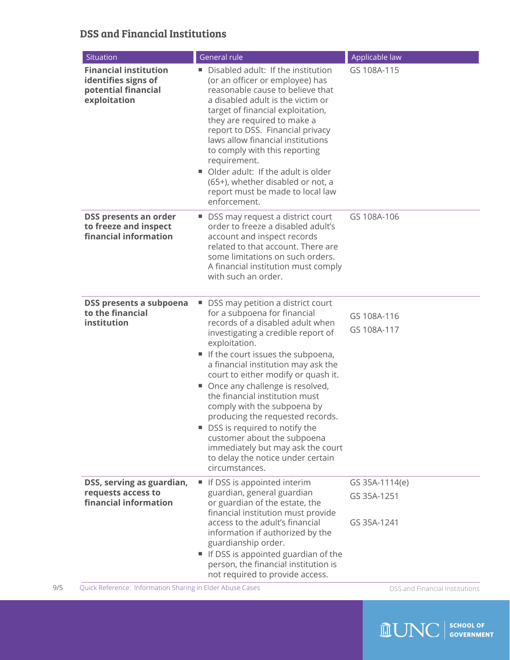## DSS and Financial Institutions

| Situation                                                                                  | <b>General rule</b>                                                                                                                                                                                                                                                                                                                                                                                                                                                                                                                                                                       | Applicable law                               |
|--------------------------------------------------------------------------------------------|-------------------------------------------------------------------------------------------------------------------------------------------------------------------------------------------------------------------------------------------------------------------------------------------------------------------------------------------------------------------------------------------------------------------------------------------------------------------------------------------------------------------------------------------------------------------------------------------|----------------------------------------------|
| <b>Financial institution</b><br>identifies signs of<br>potential financial<br>exploitation | Disabled adult: If the institution<br>(or an officer or employee) has<br>reasonable cause to believe that<br>a disabled adult is the victim or<br>target of financial exploitation,<br>they are required to make a<br>report to DSS. Financial privacy<br>laws allow financial institutions<br>to comply with this reporting<br>requirement.<br>Older adult: If the adult is older<br>(65+), whether disabled or not, a<br>report must be made to local law<br>enforcement.                                                                                                               | GS 108A-115                                  |
| DSS presents an order<br>to freeze and inspect<br>financial information                    | ■ DSS may request a district court<br>order to freeze a disabled adult's<br>account and inspect records<br>related to that account. There are<br>some limitations on such orders.<br>A financial institution must comply<br>with such an order.                                                                                                                                                                                                                                                                                                                                           | GS 108A-106                                  |
| DSS presents a subpoena<br>to the financial<br>institution                                 | ■ DSS may petition a district court<br>for a subpoena for financial<br>records of a disabled adult when<br>investigating a credible report of<br>exploitation.<br>If the court issues the subpoena,<br>a financial institution may ask the<br>court to either modify or quash it.<br>• Once any challenge is resolved,<br>the financial institution must<br>comply with the subpoena by<br>producing the requested records.<br>■ DSS is required to notify the<br>customer about the subpoena<br>immediately but may ask the court<br>to delay the notice under certain<br>circumstances. | GS 108A-116<br>GS 108A-117                   |
| DSS, serving as guardian,<br>requests access to<br>financial information                   | If DSS is appointed interim<br>guardian, general guardian<br>or guardian of the estate, the<br>financial institution must provide<br>access to the adult's financial<br>information if authorized by the<br>guardianship order.<br>If DSS is appointed guardian of the<br>ш<br>person, the financial institution is                                                                                                                                                                                                                                                                       | GS 35A-1114(e)<br>GS 35A-1251<br>GS 35A-1241 |

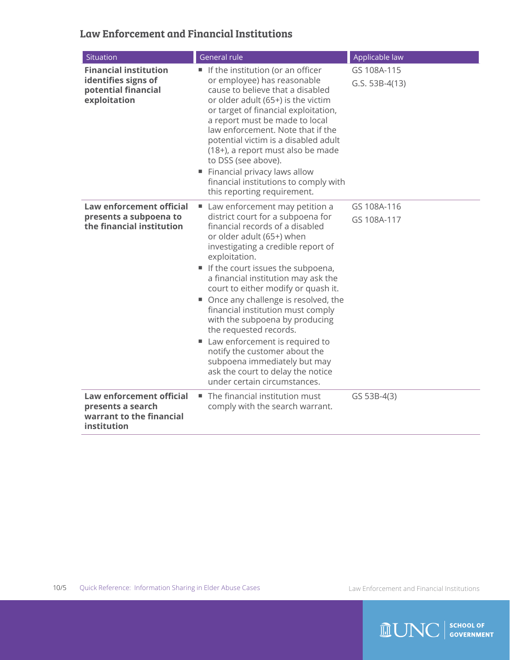#### Law Enforcement and Financial Institutions

| Situation                                                                                  | General rule                                                                                                                                                                                                                                                                                                                                                                                                                                                                                                                                                                                                                         | Applicable law                  |
|--------------------------------------------------------------------------------------------|--------------------------------------------------------------------------------------------------------------------------------------------------------------------------------------------------------------------------------------------------------------------------------------------------------------------------------------------------------------------------------------------------------------------------------------------------------------------------------------------------------------------------------------------------------------------------------------------------------------------------------------|---------------------------------|
| <b>Financial institution</b><br>identifies signs of<br>potential financial<br>exploitation | If the institution (or an officer<br>or employee) has reasonable<br>cause to believe that a disabled<br>or older adult (65+) is the victim<br>or target of financial exploitation,<br>a report must be made to local<br>law enforcement. Note that if the<br>potential victim is a disabled adult<br>(18+), a report must also be made<br>to DSS (see above).<br>Financial privacy laws allow<br>financial institutions to comply with<br>this reporting requirement.                                                                                                                                                                | GS 108A-115<br>$G.S. 53B-4(13)$ |
| Law enforcement official<br>presents a subpoena to<br>the financial institution            | Law enforcement may petition a<br>district court for a subpoena for<br>financial records of a disabled<br>or older adult (65+) when<br>investigating a credible report of<br>exploitation.<br>If the court issues the subpoena,<br>a financial institution may ask the<br>court to either modify or quash it.<br>■ Once any challenge is resolved, the<br>financial institution must comply<br>with the subpoena by producing<br>the requested records.<br>Law enforcement is required to<br>ш<br>notify the customer about the<br>subpoena immediately but may<br>ask the court to delay the notice<br>under certain circumstances. | GS 108A-116<br>GS 108A-117      |
| Law enforcement official<br>presents a search<br>warrant to the financial<br>institution   | ■ The financial institution must<br>comply with the search warrant.                                                                                                                                                                                                                                                                                                                                                                                                                                                                                                                                                                  | GS 53B-4(3)                     |